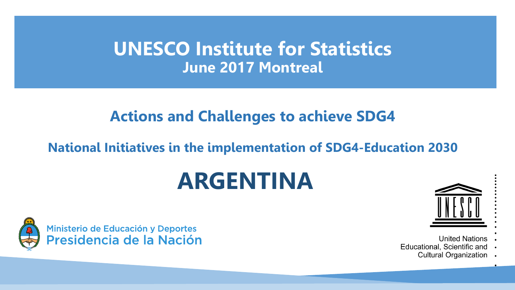## **UNESCO Institute for Statistics June 2017 Montreal**

### **Actions and Challenges to achieve SDG4**

#### **National Initiatives in the implementation of SDG4-Education 2030**

# **ARGENTINA**





- **United Nations**
- Educational, Scientific and
	- **Cultural Organization**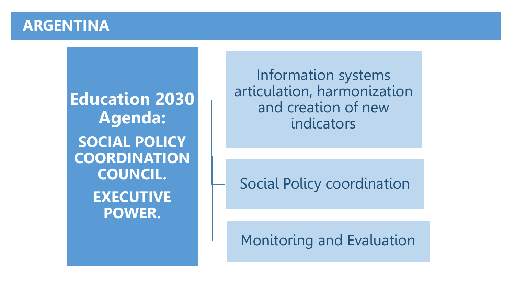#### **ARGENTINA**

**Education 2030 Agenda: SOCIAL POLICY COORDINATION COUNCIL. EXECUTIVE POWER.**

Information systems articulation, harmonization and creation of new indicators

Social Policy coordination

Monitoring and Evaluation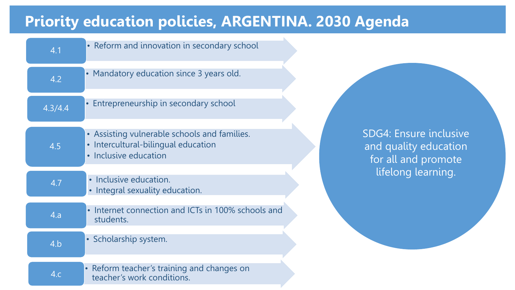## **Priority education policies, ARGENTINA. 2030 Agenda**

| 4.1     | • Reform and innovation in secondary school                                                                  |                                                                        |
|---------|--------------------------------------------------------------------------------------------------------------|------------------------------------------------------------------------|
| 4.2     | • Mandatory education since 3 years old.                                                                     |                                                                        |
| 4.3/4.4 | Entrepreneurship in secondary school                                                                         |                                                                        |
| 4.5     | • Assisting vulnerable schools and families.<br>· Intercultural-bilingual education<br>• Inclusive education | SDG4: Ensure inclusive<br>and quality education<br>for all and promote |
| 4.7     | · Inclusive education.<br>• Integral sexuality education.                                                    | lifelong learning.                                                     |
| 4.a     | • Internet connection and ICTs in 100% schools and<br>students.                                              |                                                                        |
| 4.b     | • Scholarship system.                                                                                        |                                                                        |
| 4.c     | • Reform teacher's training and changes on<br>teacher's work conditions.                                     |                                                                        |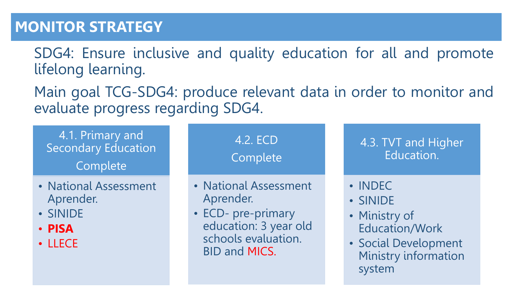### **MONITOR STRATEGY**

SDG4: Ensure inclusive and quality education for all and promote lifelong learning.

Main goal TCG-SDG4: produce relevant data in order to monitor and evaluate progress regarding SDG4.

4.1. Primary and Secondary Education Complete

- National Assessment Aprender.
- SINIDE
- **PISA**
- LLECE

4.2. ECD Complete • National Assessment Aprender. • ECD- pre-primary education: 3 year old schools evaluation. BID and MICS. 4.3. TVT and Higher Education. • INDEC • SINIDE • Ministry of Education/Work • Social Development Ministry information system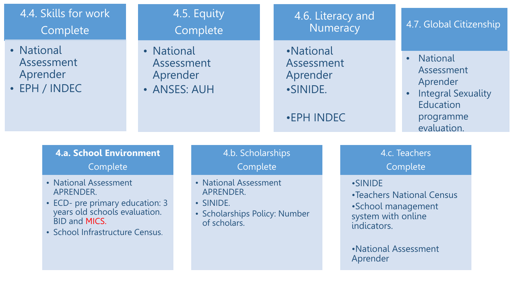| 4.4. Skills for work<br>Complete                                                                                                                                  |  |                                                                                                  | 4.5. Equity<br>Complete       |  | 4.6. Literacy and<br>Numeracy                                 |                           | 4.7. Global Citizenship                                                                                |                                                                                                                 |  |
|-------------------------------------------------------------------------------------------------------------------------------------------------------------------|--|--------------------------------------------------------------------------------------------------|-------------------------------|--|---------------------------------------------------------------|---------------------------|--------------------------------------------------------------------------------------------------------|-----------------------------------------------------------------------------------------------------------------|--|
| • National<br>Assessment<br>Aprender<br>• EPH / INDEC                                                                                                             |  | • National<br>Assessment<br>Aprender<br>• ANSES: AUH                                             |                               |  | •National<br>Assessment<br>Aprender<br>•SINIDE.<br>•EPH INDEC |                           |                                                                                                        | <b>National</b><br>Assessment<br>Aprender<br><b>Integral Sexuality</b><br>Education<br>programme<br>evaluation. |  |
| <b>4.a. School Environment</b><br>Complete                                                                                                                        |  |                                                                                                  | 4.b. Scholarships<br>Complete |  |                                                               | 4.c. Teachers<br>Complete |                                                                                                        |                                                                                                                 |  |
| • National Assessment<br>APRENDER.<br>• ECD- pre primary education: 3<br>years old schools evaluation.<br><b>BID and MICS.</b><br>· School Infrastructure Census. |  | • National Assessment<br>APRENDER.<br>• SINIDE.<br>• Scholarships Policy: Number<br>of scholars. |                               |  |                                                               |                           | <b>.SINIDE</b><br>•Teachers National Census<br>•School management<br>system with online<br>indicators. |                                                                                                                 |  |
|                                                                                                                                                                   |  |                                                                                                  |                               |  |                                                               |                           | Aprender                                                                                               | • National Assessment                                                                                           |  |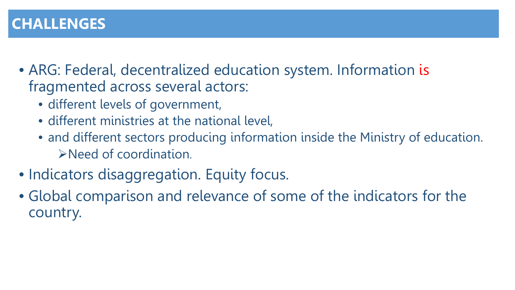### **CHALLENGES**

- ARG: Federal, decentralized education system. Information is fragmented across several actors:
	- different levels of government,
	- different ministries at the national level,
	- and different sectors producing information inside the Ministry of education. Need of coordination.
- Indicators disaggregation. Equity focus.
- Global comparison and relevance of some of the indicators for the country.